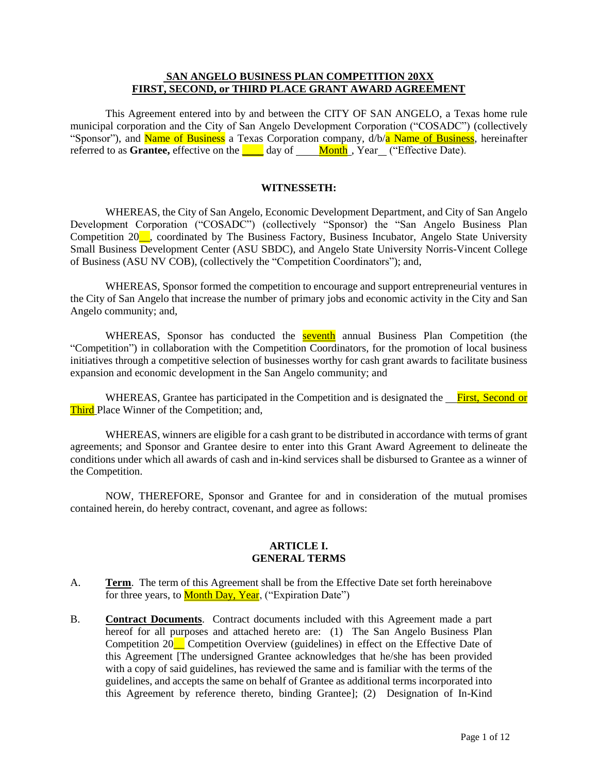#### **SAN ANGELO BUSINESS PLAN COMPETITION 20XX FIRST, SECOND, or THIRD PLACE GRANT AWARD AGREEMENT**

This Agreement entered into by and between the CITY OF SAN ANGELO, a Texas home rule municipal corporation and the City of San Angelo Development Corporation ("COSADC") (collectively "Sponsor"), and Name of Business a Texas Corporation company,  $d/b/a$  Name of Business, hereinafter referred to as **Grantee**, effective on the day of Month, Year ("Effective Date).

#### **WITNESSETH:**

WHEREAS, the City of San Angelo, Economic Development Department, and City of San Angelo Development Corporation ("COSADC") (collectively "Sponsor) the "San Angelo Business Plan Competition 20<sup>\_\_</sup>, coordinated by The Business Factory, Business Incubator, Angelo State University Small Business Development Center (ASU SBDC), and Angelo State University Norris-Vincent College of Business (ASU NV COB), (collectively the "Competition Coordinators"); and,

WHEREAS, Sponsor formed the competition to encourage and support entrepreneurial ventures in the City of San Angelo that increase the number of primary jobs and economic activity in the City and San Angelo community; and,

WHEREAS, Sponsor has conducted the **seventh** annual Business Plan Competition (the "Competition") in collaboration with the Competition Coordinators, for the promotion of local business initiatives through a competitive selection of businesses worthy for cash grant awards to facilitate business expansion and economic development in the San Angelo community; and

WHEREAS, Grantee has participated in the Competition and is designated the First, Second or Third Place Winner of the Competition; and,

WHEREAS, winners are eligible for a cash grant to be distributed in accordance with terms of grant agreements; and Sponsor and Grantee desire to enter into this Grant Award Agreement to delineate the conditions under which all awards of cash and in-kind services shall be disbursed to Grantee as a winner of the Competition.

NOW, THEREFORE, Sponsor and Grantee for and in consideration of the mutual promises contained herein, do hereby contract, covenant, and agree as follows:

#### **ARTICLE I. GENERAL TERMS**

- A. **Term**. The term of this Agreement shall be from the Effective Date set forth hereinabove for three years, to **Month Day, Year**, ("Expiration Date")
- B. **Contract Documents**. Contract documents included with this Agreement made a part hereof for all purposes and attached hereto are: (1) The San Angelo Business Plan Competition 20\_\_ Competition Overview (guidelines) in effect on the Effective Date of this Agreement [The undersigned Grantee acknowledges that he/she has been provided with a copy of said guidelines, has reviewed the same and is familiar with the terms of the guidelines, and accepts the same on behalf of Grantee as additional terms incorporated into this Agreement by reference thereto, binding Grantee]; (2) Designation of In-Kind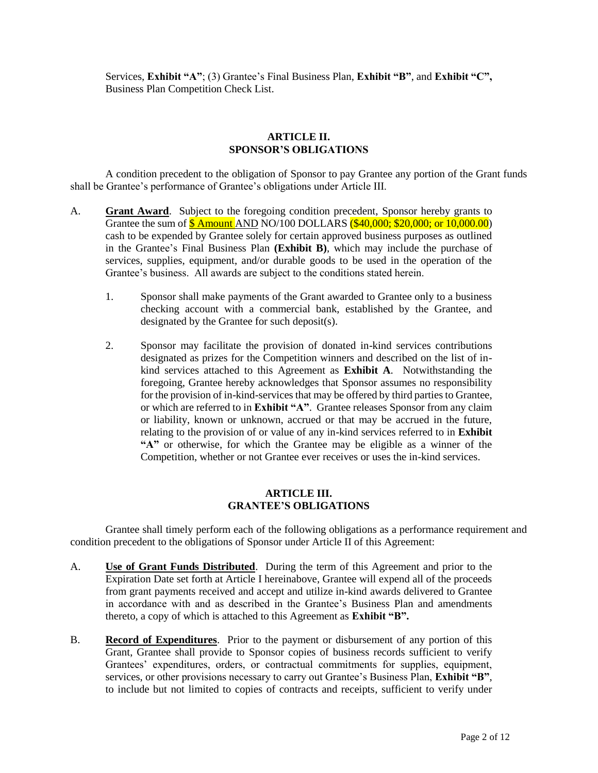Services, **Exhibit "A"**; (3) Grantee's Final Business Plan, **Exhibit "B"**, and **Exhibit "C",**  Business Plan Competition Check List.

#### **ARTICLE II. SPONSOR'S OBLIGATIONS**

A condition precedent to the obligation of Sponsor to pay Grantee any portion of the Grant funds shall be Grantee's performance of Grantee's obligations under Article III.

- A. **Grant Award**. Subject to the foregoing condition precedent, Sponsor hereby grants to Grantee the sum of **\$** Amount AND NO/100 DOLLARS (\$40,000; \$20,000; or 10,000.00) cash to be expended by Grantee solely for certain approved business purposes as outlined in the Grantee's Final Business Plan **(Exhibit B)**, which may include the purchase of services, supplies, equipment, and/or durable goods to be used in the operation of the Grantee's business. All awards are subject to the conditions stated herein.
	- 1. Sponsor shall make payments of the Grant awarded to Grantee only to a business checking account with a commercial bank, established by the Grantee, and designated by the Grantee for such deposit(s).
	- 2. Sponsor may facilitate the provision of donated in-kind services contributions designated as prizes for the Competition winners and described on the list of inkind services attached to this Agreement as **Exhibit A**. Notwithstanding the foregoing, Grantee hereby acknowledges that Sponsor assumes no responsibility for the provision of in-kind-services that may be offered by third parties to Grantee, or which are referred to in **Exhibit "A"**. Grantee releases Sponsor from any claim or liability, known or unknown, accrued or that may be accrued in the future, relating to the provision of or value of any in-kind services referred to in **Exhibit "A"** or otherwise, for which the Grantee may be eligible as a winner of the Competition, whether or not Grantee ever receives or uses the in-kind services.

#### **ARTICLE III. GRANTEE'S OBLIGATIONS**

Grantee shall timely perform each of the following obligations as a performance requirement and condition precedent to the obligations of Sponsor under Article II of this Agreement:

- A. **Use of Grant Funds Distributed**. During the term of this Agreement and prior to the Expiration Date set forth at Article I hereinabove, Grantee will expend all of the proceeds from grant payments received and accept and utilize in-kind awards delivered to Grantee in accordance with and as described in the Grantee's Business Plan and amendments thereto, a copy of which is attached to this Agreement as **Exhibit "B".**
- B. **Record of Expenditures**. Prior to the payment or disbursement of any portion of this Grant, Grantee shall provide to Sponsor copies of business records sufficient to verify Grantees' expenditures, orders, or contractual commitments for supplies, equipment, services, or other provisions necessary to carry out Grantee's Business Plan, **Exhibit "B"**, to include but not limited to copies of contracts and receipts, sufficient to verify under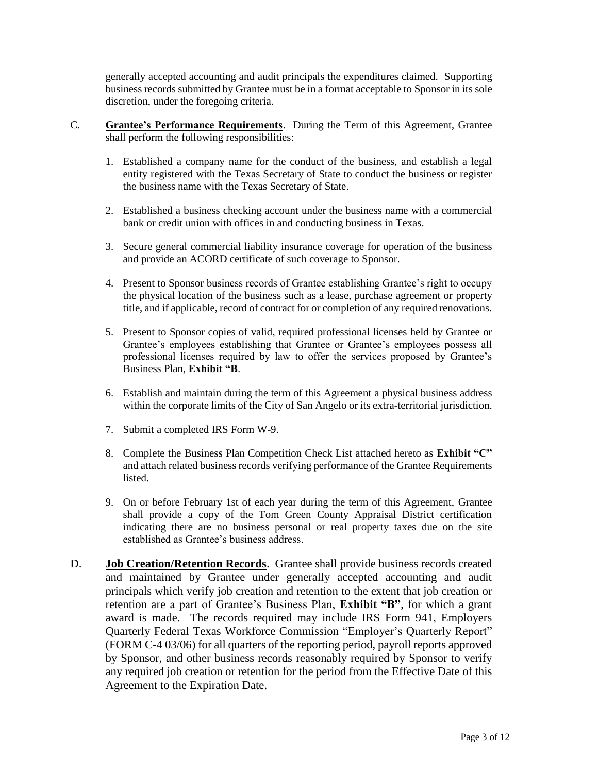generally accepted accounting and audit principals the expenditures claimed. Supporting business records submitted by Grantee must be in a format acceptable to Sponsor in its sole discretion, under the foregoing criteria.

- C. **Grantee's Performance Requirements**. During the Term of this Agreement, Grantee shall perform the following responsibilities:
	- 1. Established a company name for the conduct of the business, and establish a legal entity registered with the Texas Secretary of State to conduct the business or register the business name with the Texas Secretary of State.
	- 2. Established a business checking account under the business name with a commercial bank or credit union with offices in and conducting business in Texas.
	- 3. Secure general commercial liability insurance coverage for operation of the business and provide an ACORD certificate of such coverage to Sponsor.
	- 4. Present to Sponsor business records of Grantee establishing Grantee's right to occupy the physical location of the business such as a lease, purchase agreement or property title, and if applicable, record of contract for or completion of any required renovations.
	- 5. Present to Sponsor copies of valid, required professional licenses held by Grantee or Grantee's employees establishing that Grantee or Grantee's employees possess all professional licenses required by law to offer the services proposed by Grantee's Business Plan, **Exhibit "B**.
	- 6. Establish and maintain during the term of this Agreement a physical business address within the corporate limits of the City of San Angelo or its extra-territorial jurisdiction.
	- 7. Submit a completed IRS Form W-9.
	- 8. Complete the Business Plan Competition Check List attached hereto as **Exhibit "C"** and attach related business records verifying performance of the Grantee Requirements listed.
	- 9. On or before February 1st of each year during the term of this Agreement, Grantee shall provide a copy of the Tom Green County Appraisal District certification indicating there are no business personal or real property taxes due on the site established as Grantee's business address.
- D. **Job Creation/Retention Records**. Grantee shall provide business records created and maintained by Grantee under generally accepted accounting and audit principals which verify job creation and retention to the extent that job creation or retention are a part of Grantee's Business Plan, **Exhibit "B"**, for which a grant award is made. The records required may include IRS Form 941, Employers Quarterly Federal Texas Workforce Commission "Employer's Quarterly Report" (FORM C-4 03/06) for all quarters of the reporting period, payroll reports approved by Sponsor, and other business records reasonably required by Sponsor to verify any required job creation or retention for the period from the Effective Date of this Agreement to the Expiration Date.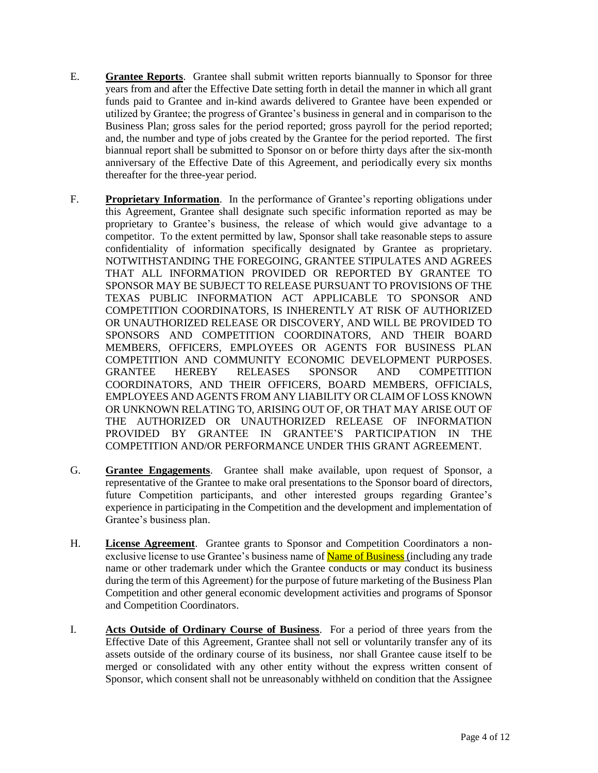- E. **Grantee Reports**. Grantee shall submit written reports biannually to Sponsor for three years from and after the Effective Date setting forth in detail the manner in which all grant funds paid to Grantee and in-kind awards delivered to Grantee have been expended or utilized by Grantee; the progress of Grantee's business in general and in comparison to the Business Plan; gross sales for the period reported; gross payroll for the period reported; and, the number and type of jobs created by the Grantee for the period reported. The first biannual report shall be submitted to Sponsor on or before thirty days after the six-month anniversary of the Effective Date of this Agreement, and periodically every six months thereafter for the three-year period.
- F. **Proprietary Information**. In the performance of Grantee's reporting obligations under this Agreement, Grantee shall designate such specific information reported as may be proprietary to Grantee's business, the release of which would give advantage to a competitor. To the extent permitted by law, Sponsor shall take reasonable steps to assure confidentiality of information specifically designated by Grantee as proprietary. NOTWITHSTANDING THE FOREGOING, GRANTEE STIPULATES AND AGREES THAT ALL INFORMATION PROVIDED OR REPORTED BY GRANTEE TO SPONSOR MAY BE SUBJECT TO RELEASE PURSUANT TO PROVISIONS OF THE TEXAS PUBLIC INFORMATION ACT APPLICABLE TO SPONSOR AND COMPETITION COORDINATORS, IS INHERENTLY AT RISK OF AUTHORIZED OR UNAUTHORIZED RELEASE OR DISCOVERY, AND WILL BE PROVIDED TO SPONSORS AND COMPETITION COORDINATORS, AND THEIR BOARD MEMBERS, OFFICERS, EMPLOYEES OR AGENTS FOR BUSINESS PLAN COMPETITION AND COMMUNITY ECONOMIC DEVELOPMENT PURPOSES. GRANTEE HEREBY RELEASES SPONSOR AND COMPETITION COORDINATORS, AND THEIR OFFICERS, BOARD MEMBERS, OFFICIALS, EMPLOYEES AND AGENTS FROM ANY LIABILITY OR CLAIM OF LOSS KNOWN OR UNKNOWN RELATING TO, ARISING OUT OF, OR THAT MAY ARISE OUT OF THE AUTHORIZED OR UNAUTHORIZED RELEASE OF INFORMATION PROVIDED BY GRANTEE IN GRANTEE'S PARTICIPATION IN THE COMPETITION AND/OR PERFORMANCE UNDER THIS GRANT AGREEMENT.
- G. **Grantee Engagements**. Grantee shall make available, upon request of Sponsor, a representative of the Grantee to make oral presentations to the Sponsor board of directors, future Competition participants, and other interested groups regarding Grantee's experience in participating in the Competition and the development and implementation of Grantee's business plan.
- H. **License Agreement**. Grantee grants to Sponsor and Competition Coordinators a nonexclusive license to use Grantee's business name of **Name of Business** (including any trade name or other trademark under which the Grantee conducts or may conduct its business during the term of this Agreement) for the purpose of future marketing of the Business Plan Competition and other general economic development activities and programs of Sponsor and Competition Coordinators.
- I. **Acts Outside of Ordinary Course of Business**. For a period of three years from the Effective Date of this Agreement, Grantee shall not sell or voluntarily transfer any of its assets outside of the ordinary course of its business, nor shall Grantee cause itself to be merged or consolidated with any other entity without the express written consent of Sponsor, which consent shall not be unreasonably withheld on condition that the Assignee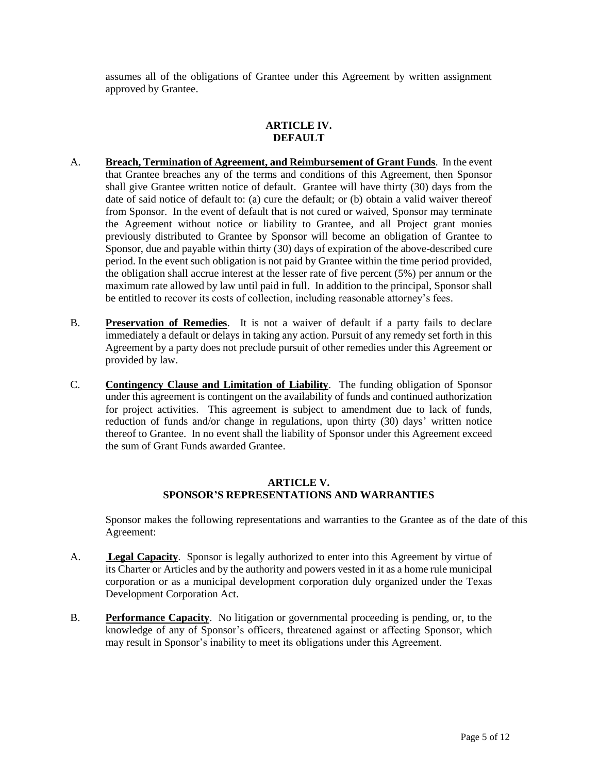assumes all of the obligations of Grantee under this Agreement by written assignment approved by Grantee.

## **ARTICLE IV. DEFAULT**

- A. **Breach, Termination of Agreement, and Reimbursement of Grant Funds**. In the event that Grantee breaches any of the terms and conditions of this Agreement, then Sponsor shall give Grantee written notice of default. Grantee will have thirty (30) days from the date of said notice of default to: (a) cure the default; or (b) obtain a valid waiver thereof from Sponsor. In the event of default that is not cured or waived, Sponsor may terminate the Agreement without notice or liability to Grantee, and all Project grant monies previously distributed to Grantee by Sponsor will become an obligation of Grantee to Sponsor, due and payable within thirty (30) days of expiration of the above-described cure period. In the event such obligation is not paid by Grantee within the time period provided, the obligation shall accrue interest at the lesser rate of five percent (5%) per annum or the maximum rate allowed by law until paid in full. In addition to the principal, Sponsor shall be entitled to recover its costs of collection, including reasonable attorney's fees.
- B. **Preservation of Remedies**. It is not a waiver of default if a party fails to declare immediately a default or delays in taking any action. Pursuit of any remedy set forth in this Agreement by a party does not preclude pursuit of other remedies under this Agreement or provided by law.
- C. **Contingency Clause and Limitation of Liability**. The funding obligation of Sponsor under this agreement is contingent on the availability of funds and continued authorization for project activities. This agreement is subject to amendment due to lack of funds, reduction of funds and/or change in regulations, upon thirty (30) days' written notice thereof to Grantee. In no event shall the liability of Sponsor under this Agreement exceed the sum of Grant Funds awarded Grantee.

## **ARTICLE V. SPONSOR'S REPRESENTATIONS AND WARRANTIES**

Sponsor makes the following representations and warranties to the Grantee as of the date of this Agreement:

- A. **Legal Capacity**. Sponsor is legally authorized to enter into this Agreement by virtue of its Charter or Articles and by the authority and powers vested in it as a home rule municipal corporation or as a municipal development corporation duly organized under the Texas Development Corporation Act.
- B. **Performance Capacity**. No litigation or governmental proceeding is pending, or, to the knowledge of any of Sponsor's officers, threatened against or affecting Sponsor, which may result in Sponsor's inability to meet its obligations under this Agreement.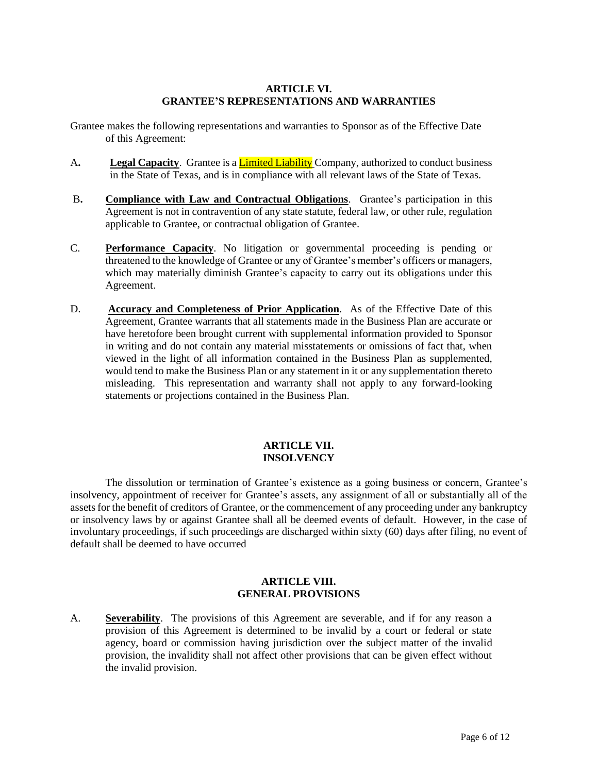## **ARTICLE VI. GRANTEE'S REPRESENTATIONS AND WARRANTIES**

Grantee makes the following representations and warranties to Sponsor as of the Effective Date of this Agreement:

- A**. Legal Capacity**. Grantee is a Limited Liability Company, authorized to conduct business in the State of Texas, and is in compliance with all relevant laws of the State of Texas.
- B**. Compliance with Law and Contractual Obligations**. Grantee's participation in this Agreement is not in contravention of any state statute, federal law, or other rule, regulation applicable to Grantee, or contractual obligation of Grantee.
- C. **Performance Capacity**. No litigation or governmental proceeding is pending or threatened to the knowledge of Grantee or any of Grantee's member's officers or managers, which may materially diminish Grantee's capacity to carry out its obligations under this Agreement.
- D. **Accuracy and Completeness of Prior Application**. As of the Effective Date of this Agreement, Grantee warrants that all statements made in the Business Plan are accurate or have heretofore been brought current with supplemental information provided to Sponsor in writing and do not contain any material misstatements or omissions of fact that, when viewed in the light of all information contained in the Business Plan as supplemented, would tend to make the Business Plan or any statement in it or any supplementation thereto misleading. This representation and warranty shall not apply to any forward-looking statements or projections contained in the Business Plan.

## **ARTICLE VII. INSOLVENCY**

The dissolution or termination of Grantee's existence as a going business or concern, Grantee's insolvency, appointment of receiver for Grantee's assets, any assignment of all or substantially all of the assets for the benefit of creditors of Grantee, or the commencement of any proceeding under any bankruptcy or insolvency laws by or against Grantee shall all be deemed events of default. However, in the case of involuntary proceedings, if such proceedings are discharged within sixty (60) days after filing, no event of default shall be deemed to have occurred

## **ARTICLE VIII. GENERAL PROVISIONS**

A. **Severability**. The provisions of this Agreement are severable, and if for any reason a provision of this Agreement is determined to be invalid by a court or federal or state agency, board or commission having jurisdiction over the subject matter of the invalid provision, the invalidity shall not affect other provisions that can be given effect without the invalid provision.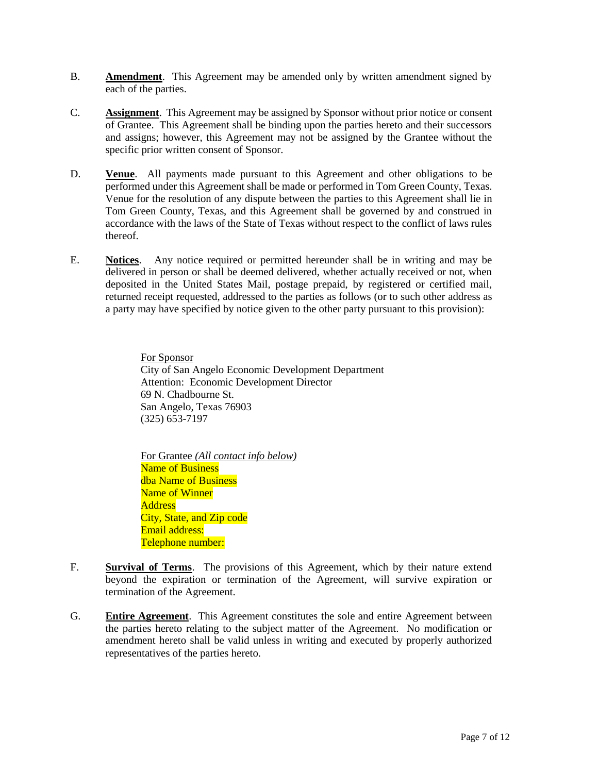- B. **Amendment**. This Agreement may be amended only by written amendment signed by each of the parties.
- C. **Assignment**. This Agreement may be assigned by Sponsor without prior notice or consent of Grantee. This Agreement shall be binding upon the parties hereto and their successors and assigns; however, this Agreement may not be assigned by the Grantee without the specific prior written consent of Sponsor.
- D. **Venue**. All payments made pursuant to this Agreement and other obligations to be performed under this Agreement shall be made or performed in Tom Green County, Texas. Venue for the resolution of any dispute between the parties to this Agreement shall lie in Tom Green County, Texas, and this Agreement shall be governed by and construed in accordance with the laws of the State of Texas without respect to the conflict of laws rules thereof.
- E. **Notices**. Any notice required or permitted hereunder shall be in writing and may be delivered in person or shall be deemed delivered, whether actually received or not, when deposited in the United States Mail, postage prepaid, by registered or certified mail, returned receipt requested, addressed to the parties as follows (or to such other address as a party may have specified by notice given to the other party pursuant to this provision):

For Sponsor City of San Angelo Economic Development Department Attention: Economic Development Director 69 N. Chadbourne St. San Angelo, Texas 76903 (325) 653-7197

For Grantee *(All contact info below)* Name of Business dba Name of Business Name of Winner **Address** City, State, and Zip code Email address: Telephone number:

- F. **Survival of Terms**. The provisions of this Agreement, which by their nature extend beyond the expiration or termination of the Agreement, will survive expiration or termination of the Agreement.
- G. **Entire Agreement**. This Agreement constitutes the sole and entire Agreement between the parties hereto relating to the subject matter of the Agreement. No modification or amendment hereto shall be valid unless in writing and executed by properly authorized representatives of the parties hereto.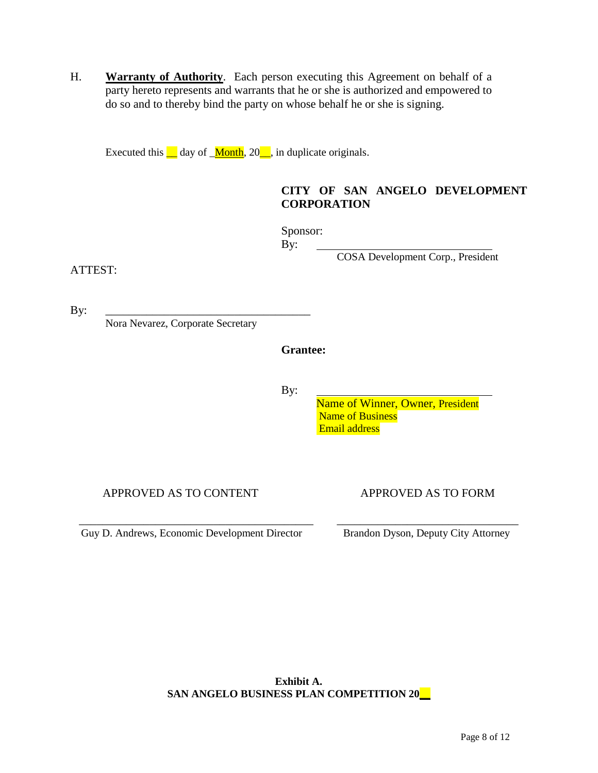H. **Warranty of Authority**. Each person executing this Agreement on behalf of a party hereto represents and warrants that he or she is authorized and empowered to do so and to thereby bind the party on whose behalf he or she is signing.

Executed this  $\blacksquare$  day of  $\blacksquare$  Month, 20 $\blacksquare$ , in duplicate originals.

# **CITY OF SAN ANGELO DEVELOPMENT CORPORATION**

Sponsor: By:

COSA Development Corp., President

ATTEST:

By: \_\_\_\_\_\_\_\_\_\_\_\_\_\_\_\_\_\_\_\_\_\_\_\_\_\_\_\_\_\_\_\_\_\_\_

Nora Nevarez, Corporate Secretary

**Grantee:** 

By:

 Name of Winner, Owner, President Name of Business Email address

APPROVED AS TO CONTENT APPROVED AS TO FORM

Guy D. Andrews, Economic Development Director Brandon Dyson, Deputy City Attorney

\_\_\_\_\_\_\_\_\_\_\_\_\_\_\_\_\_\_\_\_\_\_\_\_\_\_\_\_\_\_\_\_\_\_\_\_\_\_\_\_ \_\_\_\_\_\_\_\_\_\_\_\_\_\_\_\_\_\_\_\_\_\_\_\_\_\_\_\_\_\_\_

**Exhibit A. SAN ANGELO BUSINESS PLAN COMPETITION 20\_\_**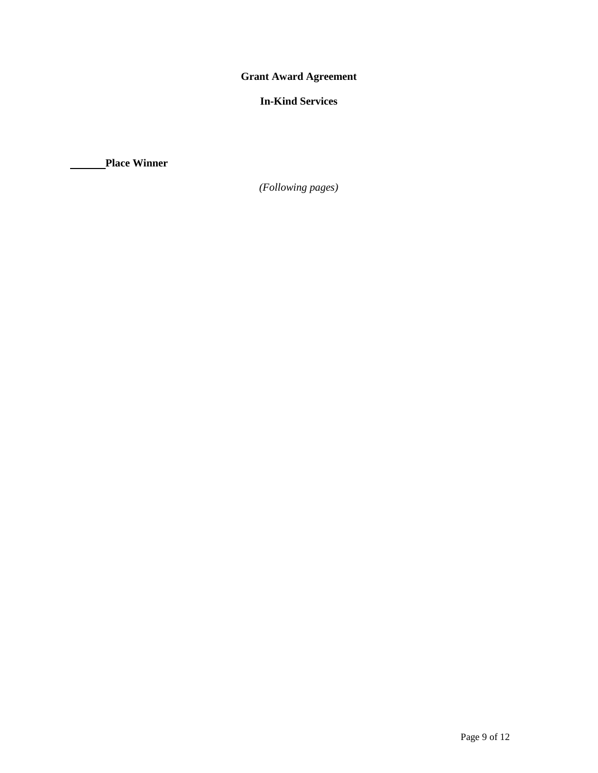**Grant Award Agreement**

# **In-Kind Services**

**Place Winner**

*(Following pages)*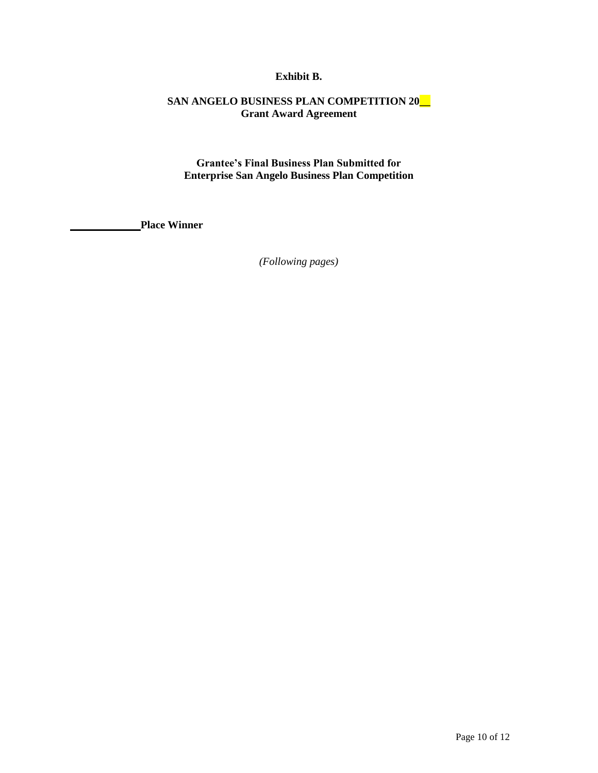## **Exhibit B.**

# **SAN ANGELO BUSINESS PLAN COMPETITION 20\_\_ Grant Award Agreement**

**Grantee's Final Business Plan Submitted for Enterprise San Angelo Business Plan Competition**

**Place Winner**

*(Following pages)*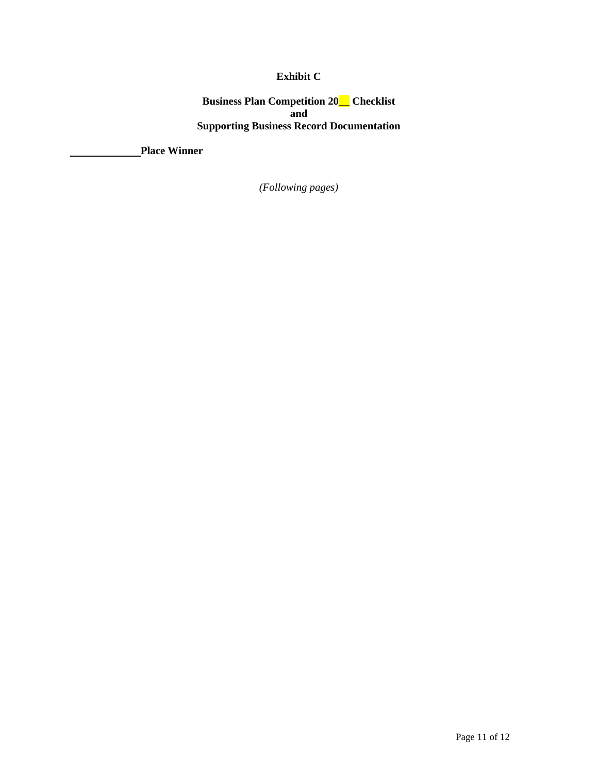# **Exhibit C**

**Business Plan Competition 20\_\_ Checklist and Supporting Business Record Documentation**

**Place Winner**

*(Following pages)*